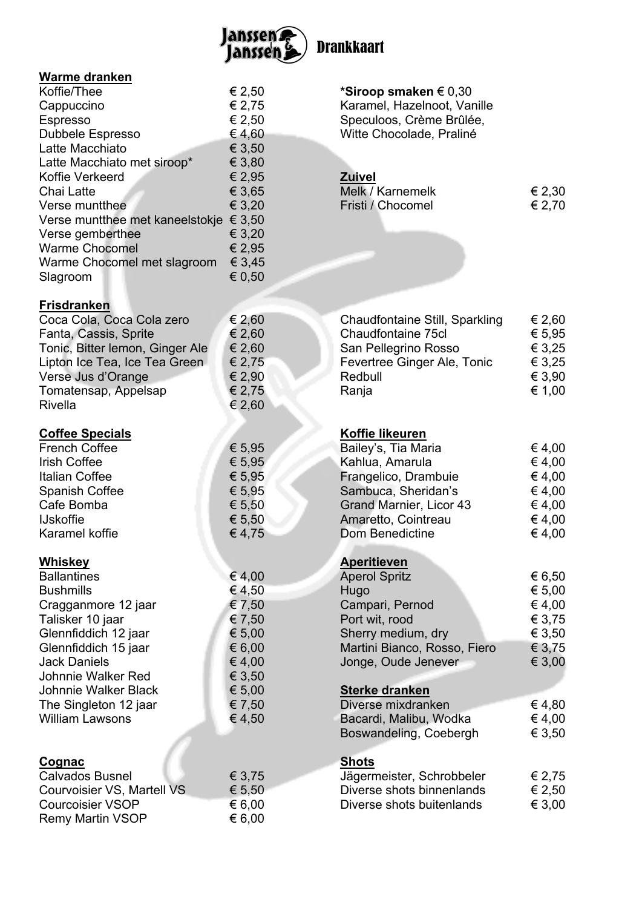

| <b>Warme dranken</b>                        |                 |                                                  |                  |
|---------------------------------------------|-----------------|--------------------------------------------------|------------------|
| Koffie/Thee                                 | € 2,50          | *Siroop smaken $\in 0,30$                        |                  |
| Cappuccino                                  | € 2,75          | Karamel, Hazelnoot, Vanille                      |                  |
| <b>Espresso</b>                             | € 2,50          | Speculoos, Crème Brûlée,                         |                  |
| Dubbele Espresso                            | €4,60           | Witte Chocolade, Praliné                         |                  |
| Latte Macchiato                             | € 3,50          |                                                  |                  |
| Latte Macchiato met siroop*                 | € 3,80          |                                                  |                  |
| Koffie Verkeerd                             | € 2,95          | <b>Zuivel</b>                                    |                  |
| Chai Latte                                  | € 3,65          | Melk / Karnemelk                                 | € 2,30           |
| Verse muntthee                              | € 3,20          | Fristi / Chocomel                                | € 2,70           |
| Verse muntthee met kaneelstokje € 3,50      |                 |                                                  |                  |
| Verse gemberthee                            | € 3,20          |                                                  |                  |
| <b>Warme Chocomel</b>                       | € 2,95          |                                                  |                  |
| Warme Chocomel met slagroom                 | € 3,45          |                                                  |                  |
| Slagroom                                    | € 0,50          |                                                  |                  |
| <b>Frisdranken</b>                          |                 |                                                  |                  |
| Coca Cola, Coca Cola zero                   | € 2,60          | <b>Chaudfontaine Still, Sparkling</b>            | € 2,60           |
| Fanta, Cassis, Sprite                       | € 2,60          | Chaudfontaine 75cl                               | € 5,95           |
| Tonic, Bitter lemon, Ginger Ale             | € 2,60          | San Pellegrino Rosso                             | € 3,25           |
| Lipton Ice Tea, Ice Tea Green               | € 2,75          | Fevertree Ginger Ale, Tonic                      | € 3,25           |
| Verse Jus d'Orange                          | € 2,90          | Redbull                                          | € 3,90           |
| Tomatensap, Appelsap                        | € 2,75          | Ranja                                            | € 1,00           |
| <b>Rivella</b>                              | € 2,60          |                                                  |                  |
| <b>Coffee Specials</b>                      |                 | <b>Koffie likeuren</b>                           |                  |
| <b>French Coffee</b>                        | € 5,95          | Bailey's, Tia Maria                              | € 4,00           |
| <b>Irish Coffee</b>                         | € 5,95          | Kahlua, Amarula                                  | € 4,00           |
| Italian Coffee                              | € 5,95          | Frangelico, Drambuie                             | € 4,00           |
| <b>Spanish Coffee</b>                       | € 5,95          | Sambuca, Sheridan's                              | € 4,00           |
| Cafe Bomba                                  | € 5,50          | Grand Marnier, Licor 43                          | € 4,00           |
| <b>IJskoffie</b>                            | € 5,50          | Amaretto, Cointreau                              | € 4,00           |
| Karamel koffie                              | €4,75           | <b>Dom Benedictine</b>                           | € 4,00           |
| <b>Whiskey</b>                              |                 | <b>Aperitieven</b>                               |                  |
| <b>Ballantines</b>                          | € 4,00          | <b>Aperol Spritz</b>                             | € 6,50           |
| <b>Bushmills</b>                            | € 4,50          | Hugo                                             | € 5,00           |
| Cragganmore 12 jaar                         | € 7,50          | Campari, Pernod                                  | € 4,00           |
| Talisker 10 jaar                            | € 7,50          | Port wit, rood                                   | € 3,75           |
| Glennfiddich 12 jaar                        | € 5,00          |                                                  | € 3,50           |
|                                             |                 | Sherry medium, dry                               |                  |
| Glennfiddich 15 jaar<br><b>Jack Daniels</b> | € 6,00          | Martini Bianco, Rosso, Fiero                     | € 3,75           |
|                                             | €4,00<br>€ 3,50 | Jonge, Oude Jenever                              | € 3,00           |
| Johnnie Walker Red                          |                 |                                                  |                  |
| <b>Johnnie Walker Black</b>                 | € 5,00          | <b>Sterke dranken</b>                            |                  |
| The Singleton 12 jaar                       | € 7,50          | Diverse mixdranken                               | € 4,80           |
| <b>William Lawsons</b>                      | € 4,50          | Bacardi, Malibu, Wodka<br>Boswandeling, Coebergh | € 4,00<br>€ 3,50 |
|                                             |                 |                                                  |                  |
| <u>Cognac</u>                               |                 | <b>Shots</b>                                     |                  |
| <b>Calvados Busnel</b>                      | € 3,75          | Jägermeister, Schrobbeler                        | € 2,75           |
| Courvoisier VS, Martell VS                  | € 5,50          | Diverse shots binnenlands                        | € 2,50           |
| <b>Courcoisier VSOP</b>                     | € 6,00          | Diverse shots buitenlands                        | € 3,00           |
| <b>Remy Martin VSOP</b>                     | € 6,00          |                                                  |                  |